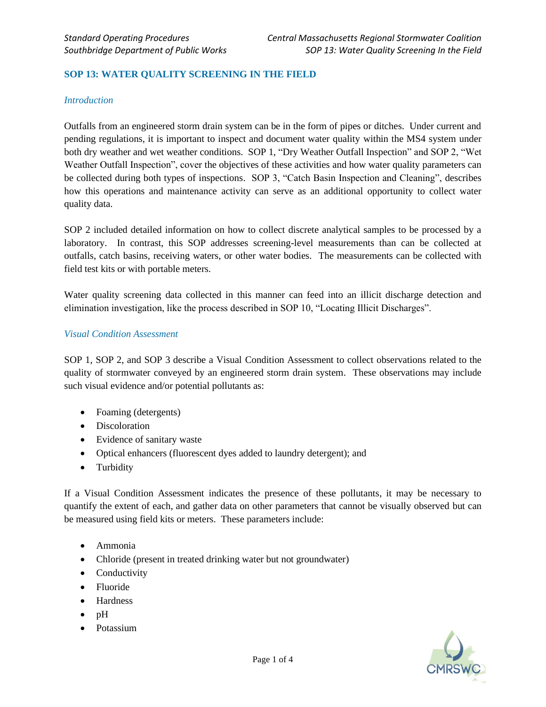### **SOP 13: WATER QUALITY SCREENING IN THE FIELD**

#### *Introduction*

Outfalls from an engineered storm drain system can be in the form of pipes or ditches. Under current and pending regulations, it is important to inspect and document water quality within the MS4 system under both dry weather and wet weather conditions. SOP 1, "Dry Weather Outfall Inspection" and SOP 2, "Wet Weather Outfall Inspection", cover the objectives of these activities and how water quality parameters can be collected during both types of inspections. SOP 3, "Catch Basin Inspection and Cleaning", describes how this operations and maintenance activity can serve as an additional opportunity to collect water quality data.

SOP 2 included detailed information on how to collect discrete analytical samples to be processed by a laboratory. In contrast, this SOP addresses screening-level measurements than can be collected at outfalls, catch basins, receiving waters, or other water bodies. The measurements can be collected with field test kits or with portable meters.

Water quality screening data collected in this manner can feed into an illicit discharge detection and elimination investigation, like the process described in SOP 10, "Locating Illicit Discharges".

#### *Visual Condition Assessment*

SOP 1, SOP 2, and SOP 3 describe a Visual Condition Assessment to collect observations related to the quality of stormwater conveyed by an engineered storm drain system. These observations may include such visual evidence and/or potential pollutants as:

- Foaming (detergents)
- Discoloration
- Evidence of sanitary waste
- Optical enhancers (fluorescent dyes added to laundry detergent); and
- Turbidity

If a Visual Condition Assessment indicates the presence of these pollutants, it may be necessary to quantify the extent of each, and gather data on other parameters that cannot be visually observed but can be measured using field kits or meters. These parameters include:

- Ammonia
- Chloride (present in treated drinking water but not groundwater)
- Conductivity
- Fluoride
- Hardness
- pH
- Potassium

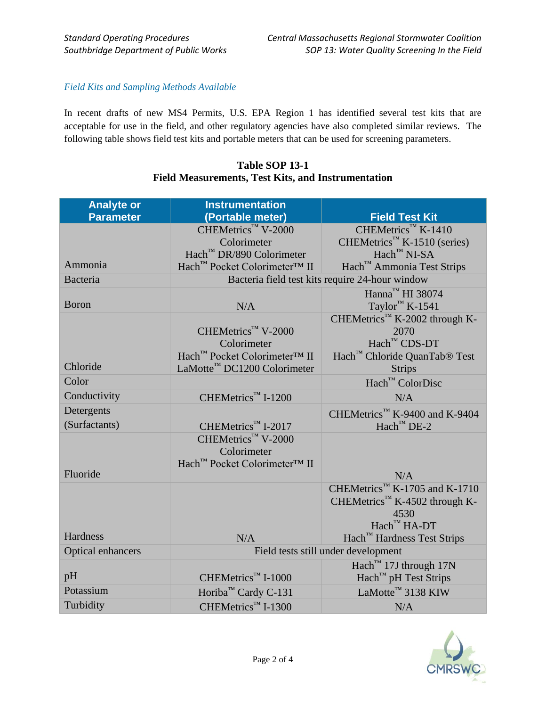### *Field Kits and Sampling Methods Available*

In recent drafts of new MS4 Permits, U.S. EPA Region 1 has identified several test kits that are acceptable for use in the field, and other regulatory agencies have also completed similar reviews. The following table shows field test kits and portable meters that can be used for screening parameters.

| <b>Analyte or</b> | <b>Instrumentation</b>                          |                                           |
|-------------------|-------------------------------------------------|-------------------------------------------|
| <b>Parameter</b>  | (Portable meter)                                | <b>Field Test Kit</b>                     |
|                   | CHEMetrics™ V-2000                              | CHEMetrics™ K-1410                        |
|                   | Colorimeter                                     | CHEMetrics™ K-1510 (series)               |
|                   | Hach™ DR/890 Colorimeter                        | $\text{Hach}^{\text{TM}}$ NI-SA           |
| Ammonia           | Hach™ Pocket Colorimeter™ II                    | Hach™ Ammonia Test Strips                 |
| Bacteria          | Bacteria field test kits require 24-hour window |                                           |
|                   |                                                 | Hanna <sup>™</sup> HI 38074               |
| <b>Boron</b>      | N/A                                             | Taylor <sup>™</sup> K-1541                |
|                   |                                                 | CHEMetrics™ K-2002 through K-             |
|                   | CHEMetrics™ V-2000                              | 2070                                      |
|                   | Colorimeter                                     | Hach™ CDS-DT                              |
|                   | Hach™ Pocket Colorimeter™ II                    | Hach™ Chloride QuanTab® Test              |
| Chloride          | LaMotte <sup>™</sup> DC1200 Colorimeter         | <b>Strips</b>                             |
| Color             |                                                 | Hach™ ColorDisc                           |
| Conductivity      | CHEMetrics™ I-1200                              | N/A                                       |
| Detergents        |                                                 | CHEMetrics™ K-9400 and K-9404             |
| (Surfactants)     | CHEMetrics™ I-2017                              | $\text{Hach}^{\text{TM}}$ DE-2            |
|                   | CHEMetrics™ V-2000                              |                                           |
|                   | Colorimeter                                     |                                           |
|                   | Hach™ Pocket Colorimeter™ II                    |                                           |
| Fluoride          |                                                 | N/A                                       |
|                   |                                                 | CHEMetrics™ K-1705 and K-1710             |
|                   |                                                 | CHEMetrics <sup>™</sup> K-4502 through K- |
|                   |                                                 | 4530                                      |
|                   |                                                 | Hach™ HA-DT                               |
| Hardness          | N/A                                             | Hach™ Hardness Test Strips                |
| Optical enhancers | Field tests still under development             |                                           |
|                   |                                                 | Hach <sup>™</sup> 17J through 17N         |
| pH                | CHEMetrics™ I-1000                              | Hach <sup>™</sup> pH Test Strips          |
| Potassium         | Horiba <sup>™</sup> Cardy C-131                 | LaMotte <sup>™</sup> 3138 KIW             |
| Turbidity         | CHEMetrics™ I-1300                              | N/A                                       |

# **Table SOP 13-1 Field Measurements, Test Kits, and Instrumentation**

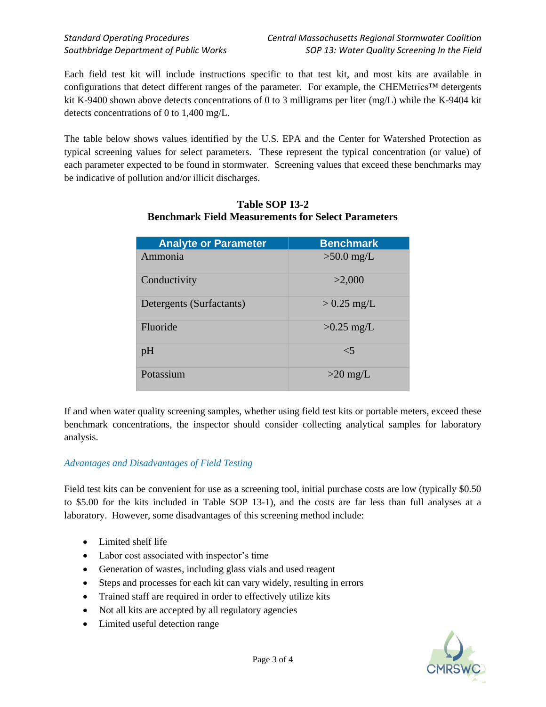Each field test kit will include instructions specific to that test kit, and most kits are available in configurations that detect different ranges of the parameter. For example, the CHEMetrics™ detergents kit K-9400 shown above detects concentrations of 0 to 3 milligrams per liter (mg/L) while the K-9404 kit detects concentrations of 0 to 1,400 mg/L.

The table below shows values identified by the U.S. EPA and the Center for Watershed Protection as typical screening values for select parameters. These represent the typical concentration (or value) of each parameter expected to be found in stormwater. Screening values that exceed these benchmarks may be indicative of pollution and/or illicit discharges.

| <b>Analyte or Parameter</b> | <b>Benchmark</b> |
|-----------------------------|------------------|
| Ammonia                     | $>50.0$ mg/L     |
| Conductivity                | >2,000           |
| Detergents (Surfactants)    | $> 0.25$ mg/L    |
| Fluoride                    | $>0.25$ mg/L     |
| pH                          | $\leq 5$         |
| Potassium                   | $>20$ mg/L       |

## **Table SOP 13-2 Benchmark Field Measurements for Select Parameters**

If and when water quality screening samples, whether using field test kits or portable meters, exceed these benchmark concentrations, the inspector should consider collecting analytical samples for laboratory analysis.

## *Advantages and Disadvantages of Field Testing*

Field test kits can be convenient for use as a screening tool, initial purchase costs are low (typically \$0.50 to \$5.00 for the kits included in Table SOP 13-1), and the costs are far less than full analyses at a laboratory. However, some disadvantages of this screening method include:

- Limited shelf life
- Labor cost associated with inspector's time
- Generation of wastes, including glass vials and used reagent
- Steps and processes for each kit can vary widely, resulting in errors
- Trained staff are required in order to effectively utilize kits
- Not all kits are accepted by all regulatory agencies
- Limited useful detection range